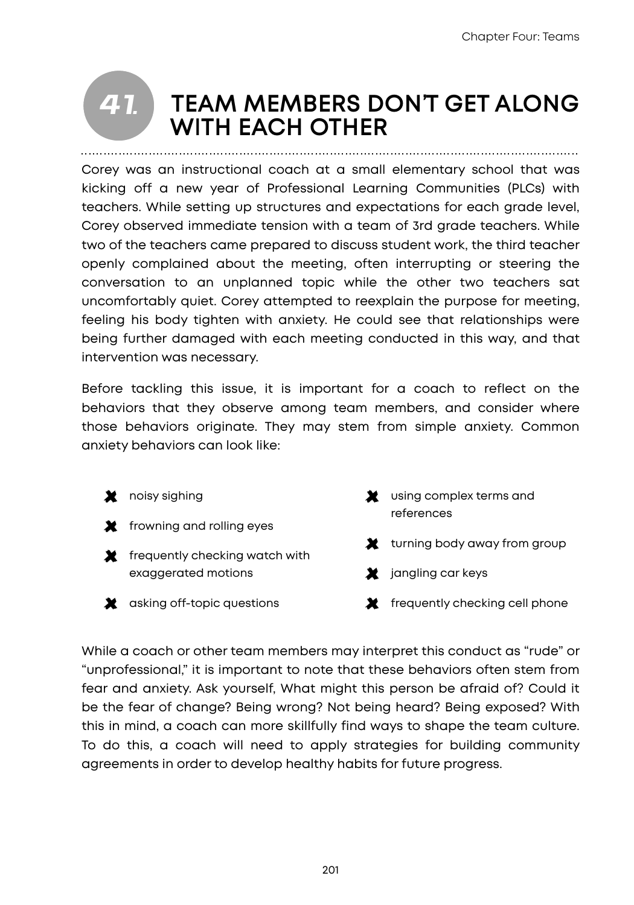#### **TEAM MEMBERS DON'T GET ALONG WITH EACH OTHER**  *41.*

Corey was an instructional coach at a small elementary school that was kicking off a new year of Professional Learning Communities (PLCs) with teachers. While setting up structures and expectations for each grade level, Corey observed immediate tension with a team of 3rd grade teachers. While two of the teachers came prepared to discuss student work, the third teacher openly complained about the meeting, often interrupting or steering the conversation to an unplanned topic while the other two teachers sat uncomfortably quiet. Corey attempted to reexplain the purpose for meeting, feeling his body tighten with anxiety. He could see that relationships were being further damaged with each meeting conducted in this way, and that intervention was necessary.

Before tackling this issue, it is important for a coach to reflect on the behaviors that they observe among team members, and consider where those behaviors originate. They may stem from simple anxiety. Common anxiety behaviors can look like:

**X** noisy sighing **X** frowning and rolling eyes  $\blacktriangleright$  frequently checking watch with exaggerated motions **X** asking off-topic questions **X** using complex terms and references **X** turning body away from group  $\blacktriangleright$  jangling car keys  $\mathbf{\times}$  frequently checking cell phone

While a coach or other team members may interpret this conduct as "rude" or "unprofessional," it is important to note that these behaviors often stem from fear and anxiety. Ask yourself, What might this person be afraid of? Could it be the fear of change? Being wrong? Not being heard? Being exposed? With this in mind, a coach can more skillfully find ways to shape the team culture. To do this, a coach will need to apply strategies for building community agreements in order to develop healthy habits for future progress.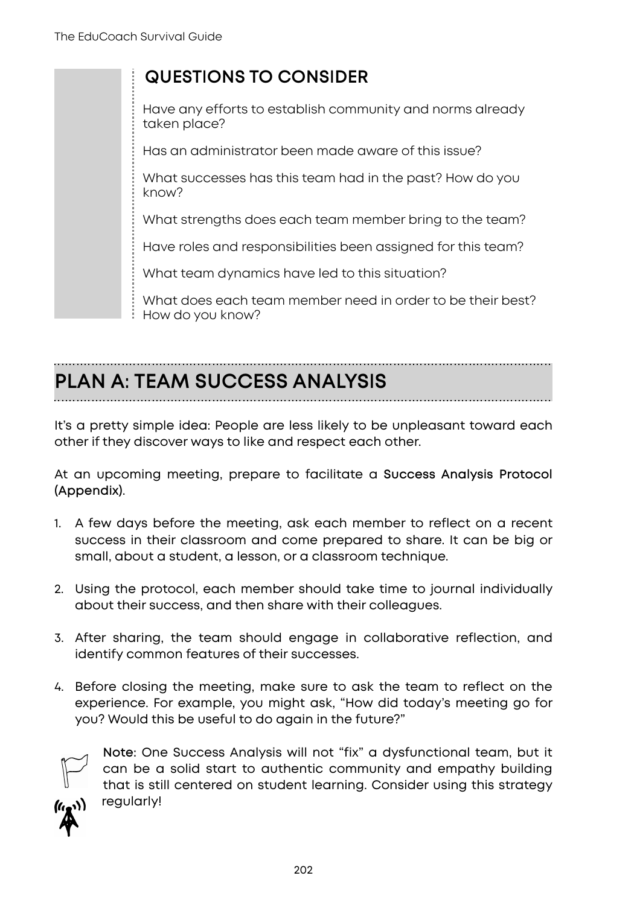### **QUESTIONS TO CONSIDER**

Have any efforts to establish community and norms already taken place?

Has an administrator been made aware of this issue?

What successes has this team had in the past? How do you know?

What strengths does each team member bring to the team?

Have roles and responsibilities been assigned for this team?

What team dynamics have led to this situation?

What does each team member need in order to be their best? How do you know?

# **PLAN A: TEAM SUCCESS ANALYSIS**

It's a pretty simple idea: People are less likely to be unpleasant toward each other if they discover ways to like and respect each other.

At an upcoming meeting, prepare to facilitate a **Success Analysis Protocol (Appendix)**.

- 1. A few days before the meeting, ask each member to reflect on a recent success in their classroom and come prepared to share. It can be big or small, about a student, a lesson, or a classroom technique.
- 2. Using the protocol, each member should take time to journal individually about their success, and then share with their colleagues.
- 3. After sharing, the team should engage in collaborative reflection, and identify common features of their successes.
- 4. Before closing the meeting, make sure to ask the team to reflect on the experience. For example, you might ask, "How did today's meeting go for you? Would this be useful to do again in the future?"



**Note:** One Success Analysis will not "fix" a dysfunctional team, but it can be a solid start to authentic community and empathy building that is still centered on student learning. Consider using this strategy regularly!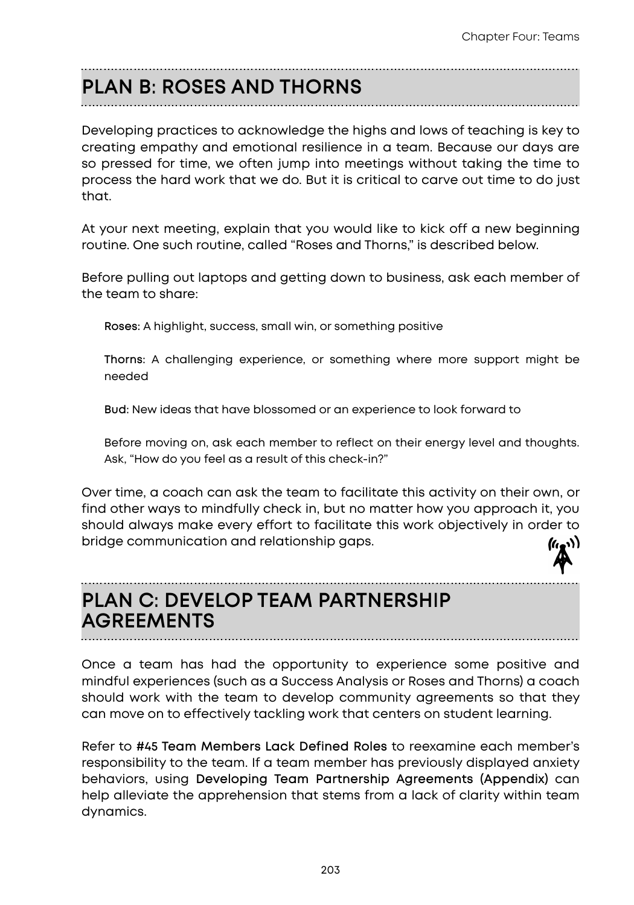# **PLAN B: ROSES AND THORNS**

Developing practices to acknowledge the highs and lows of teaching is key to creating empathy and emotional resilience in a team. Because our days are so pressed for time, we often jump into meetings without taking the time to process the hard work that we do. But it is critical to carve out time to do just that.

At your next meeting, explain that you would like to kick off a new beginning routine. One such routine, called "Roses and Thorns," is described below.

Before pulling out laptops and getting down to business, ask each member of the team to share:

**Roses:** A highlight, success, small win, or something positive

**Thorns:** A challenging experience, or something where more support might be needed

**Bud:** New ideas that have blossomed or an experience to look forward to

Before moving on, ask each member to reflect on their energy level and thoughts. Ask, "How do you feel as a result of this check-in?"

Over time, a coach can ask the team to facilitate this activity on their own, or find other ways to mindfully check in, but no matter how you approach it, you should always make every effort to facilitate this work objectively in order to bridge communication and relationship gaps.

## **PLAN C: DEVELOP TEAM PARTNERSHIP AGREEMENTS**

Once a team has had the opportunity to experience some positive and mindful experiences (such as a Success Analysis or Roses and Thorns) a coach should work with the team to develop community agreements so that they can move on to effectively tackling work that centers on student learning.

Refer to **#45 Team Members Lack Defined Roles** to reexamine each member's responsibility to the team. If a team member has previously displayed anxiety behaviors, using **Developing Team Partnership Agreements (Appendix)** can help alleviate the apprehension that stems from a lack of clarity within team dynamics.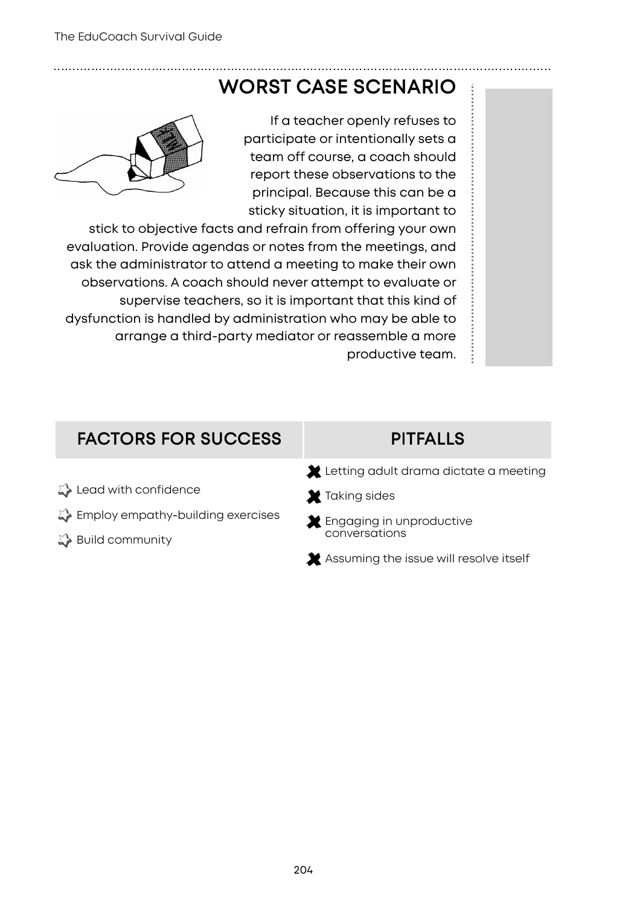## **WORST CASE SCENARIO**



If a teacher openly refuses to participate or intentionally sets a team off course, a coach should report these observations to the principal. Because this can be a sticky situation, it is important to

stick to objective facts and refrain from offering your own evaluation. Provide agendas or notes from the meetings, and ask the administrator to attend a meeting to make their own observations. A coach should never attempt to evaluate or supervise teachers, so it is important that this kind of dysfunction is handled by administration who may be able to arrange a third-party mediator or reassemble a more productive team.

## **FACTORS FOR SUCCESS PITFALLS**

- Lead with confidence
- $\mathbb{Z}$  Employ empathy-building exercises
- ↓ Build community

- Letting adult drama dictate a meeting
- X Taking sides
- **X** Engaging in unproductive conversations
- Assuming the issue will resolve itself